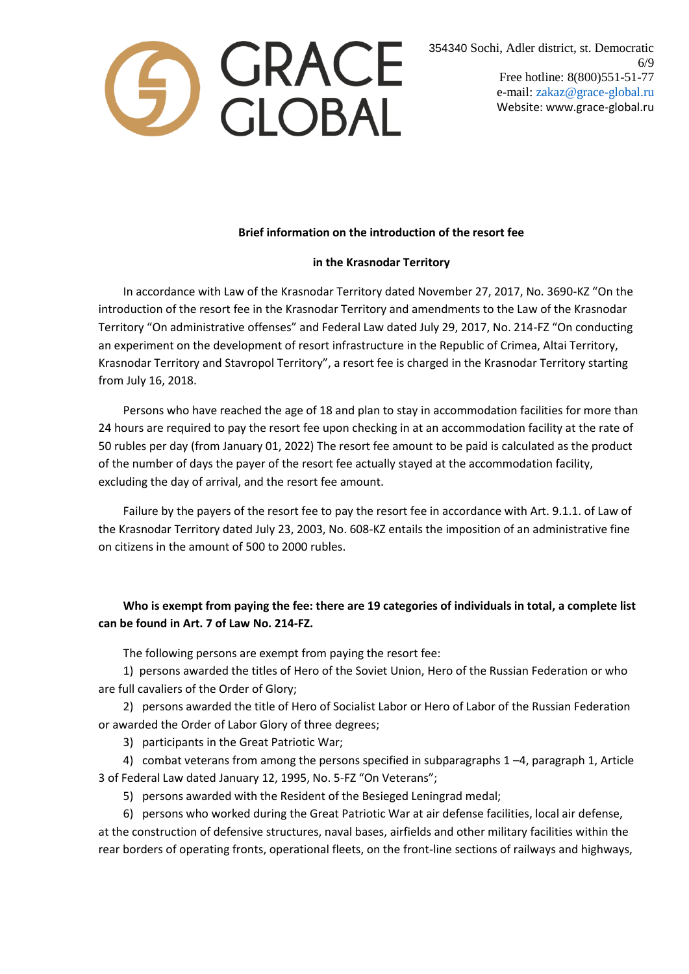

354340 Sochi, Adler district, st. Democratic 6/9 Free hotline: 8(800)551-51-77 e-mail: zakaz@grace-global.ru Website: www.grace-global.ru

## **Brief information on the introduction of the resort fee**

## **in the Krasnodar Territory**

In accordance with Law of the Krasnodar Territory dated November 27, 2017, No. 3690-KZ "On the introduction of the resort fee in the Krasnodar Territory and amendments to the Law of the Krasnodar Territory "On administrative offenses" and Federal Law dated July 29, 2017, No. 214-FZ "On conducting an experiment on the development of resort infrastructure in the Republic of Crimea, Altai Territory, Krasnodar Territory and Stavropol Territory", a resort fee is charged in the Krasnodar Territory starting from July 16, 2018.

Persons who have reached the age of 18 and plan to stay in accommodation facilities for more than 24 hours are required to pay the resort fee upon checking in at an accommodation facility at the rate of 50 rubles per day (from January 01, 2022) The resort fee amount to be paid is calculated as the product of the number of days the payer of the resort fee actually stayed at the accommodation facility, excluding the day of arrival, and the resort fee amount.

Failure by the payers of the resort fee to pay the resort fee in accordance with Art. 9.1.1. of Law of the Krasnodar Territory dated July 23, 2003, No. 608-KZ entails the imposition of an administrative fine on citizens in the amount of 500 to 2000 rubles.

## **Who is exempt from paying the fee: there are 19 categories of individuals in total, a complete list can be found in Art. 7 of Law No. 214-FZ.**

The following persons are exempt from paying the resort fee:

1) persons awarded the titles of Hero of the Soviet Union, Hero of the Russian Federation or who are full cavaliers of the Order of Glory;

2) persons awarded the title of Hero of Socialist Labor or Hero of Labor of the Russian Federation or awarded the Order of Labor Glory of three degrees;

3) participants in the Great Patriotic War;

4) combat veterans from among the persons specified in subparagraphs 1 –4, paragraph 1, Article 3 of Federal Law dated January 12, 1995, No. 5-FZ "On Veterans";

5) persons awarded with the Resident of the Besieged Leningrad medal;

6) persons who worked during the Great Patriotic War at air defense facilities, local air defense, at the construction of defensive structures, naval bases, airfields and other military facilities within the rear borders of operating fronts, operational fleets, on the front-line sections of railways and highways,